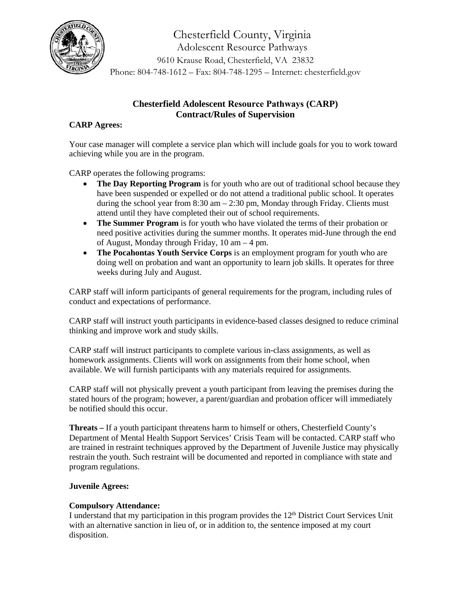

# **Chesterfield Adolescent Resource Pathways (CARP) Contract/Rules of Supervision**

#### **CARP Agrees:**

Your case manager will complete a service plan which will include goals for you to work toward achieving while you are in the program.

CARP operates the following programs:

- **The Day Reporting Program** is for youth who are out of traditional school because they have been suspended or expelled or do not attend a traditional public school. It operates during the school year from 8:30 am – 2:30 pm, Monday through Friday. Clients must attend until they have completed their out of school requirements.
- **The Summer Program** is for youth who have violated the terms of their probation or need positive activities during the summer months. It operates mid-June through the end of August, Monday through Friday, 10 am – 4 pm.
- **The Pocahontas Youth Service Corps** is an employment program for youth who are doing well on probation and want an opportunity to learn job skills. It operates for three weeks during July and August.

CARP staff will inform participants of general requirements for the program, including rules of conduct and expectations of performance.

CARP staff will instruct youth participants in evidence-based classes designed to reduce criminal thinking and improve work and study skills.

CARP staff will instruct participants to complete various in-class assignments, as well as homework assignments. Clients will work on assignments from their home school, when available. We will furnish participants with any materials required for assignments.

CARP staff will not physically prevent a youth participant from leaving the premises during the stated hours of the program; however, a parent/guardian and probation officer will immediately be notified should this occur.

**Threats –** If a youth participant threatens harm to himself or others, Chesterfield County's Department of Mental Health Support Services' Crisis Team will be contacted. CARP staff who are trained in restraint techniques approved by the Department of Juvenile Justice may physically restrain the youth. Such restraint will be documented and reported in compliance with state and program regulations.

### **Juvenile Agrees:**

#### **Compulsory Attendance:**

I understand that my participation in this program provides the 12th District Court Services Unit with an alternative sanction in lieu of, or in addition to, the sentence imposed at my court disposition.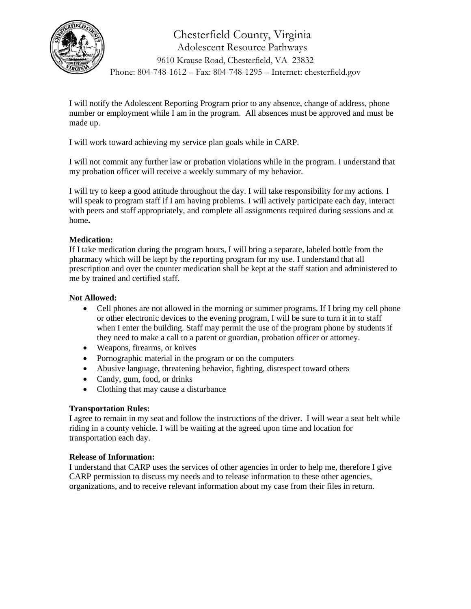

I will notify the Adolescent Reporting Program prior to any absence, change of address, phone number or employment while I am in the program. All absences must be approved and must be made up.

I will work toward achieving my service plan goals while in CARP.

I will not commit any further law or probation violations while in the program. I understand that my probation officer will receive a weekly summary of my behavior.

I will try to keep a good attitude throughout the day. I will take responsibility for my actions. I will speak to program staff if I am having problems. I will actively participate each day, interact with peers and staff appropriately, and complete all assignments required during sessions and at home**.** 

### **Medication:**

If I take medication during the program hours, I will bring a separate, labeled bottle from the pharmacy which will be kept by the reporting program for my use. I understand that all prescription and over the counter medication shall be kept at the staff station and administered to me by trained and certified staff.

### **Not Allowed:**

- Cell phones are not allowed in the morning or summer programs. If I bring my cell phone or other electronic devices to the evening program, I will be sure to turn it in to staff when I enter the building. Staff may permit the use of the program phone by students if they need to make a call to a parent or guardian, probation officer or attorney.
- Weapons, firearms, or knives
- Pornographic material in the program or on the computers
- Abusive language, threatening behavior, fighting, disrespect toward others
- Candy, gum, food, or drinks
- Clothing that may cause a disturbance

### **Transportation Rules:**

I agree to remain in my seat and follow the instructions of the driver. I will wear a seat belt while riding in a county vehicle. I will be waiting at the agreed upon time and location for transportation each day.

### **Release of Information:**

I understand that CARP uses the services of other agencies in order to help me, therefore I give CARP permission to discuss my needs and to release information to these other agencies, organizations, and to receive relevant information about my case from their files in return.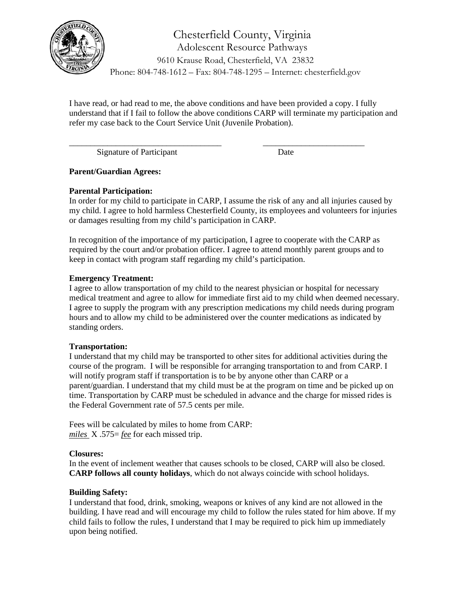

I have read, or had read to me, the above conditions and have been provided a copy. I fully understand that if I fail to follow the above conditions CARP will terminate my participation and refer my case back to the Court Service Unit (Juvenile Probation).

\_\_\_\_\_\_\_\_\_\_\_\_\_\_\_\_\_\_\_\_\_\_\_\_\_\_\_\_\_\_\_\_\_\_\_\_ \_\_\_\_\_\_\_\_\_\_\_\_\_\_\_\_\_\_\_\_\_\_\_\_

Signature of Participant Date

**Parent/Guardian Agrees:**

### **Parental Participation:**

In order for my child to participate in CARP, I assume the risk of any and all injuries caused by my child. I agree to hold harmless Chesterfield County, its employees and volunteers for injuries or damages resulting from my child's participation in CARP.

In recognition of the importance of my participation, I agree to cooperate with the CARP as required by the court and/or probation officer. I agree to attend monthly parent groups and to keep in contact with program staff regarding my child's participation.

# **Emergency Treatment:**

I agree to allow transportation of my child to the nearest physician or hospital for necessary medical treatment and agree to allow for immediate first aid to my child when deemed necessary. I agree to supply the program with any prescription medications my child needs during program hours and to allow my child to be administered over the counter medications as indicated by standing orders.

### **Transportation:**

I understand that my child may be transported to other sites for additional activities during the course of the program. I will be responsible for arranging transportation to and from CARP. I will notify program staff if transportation is to be by anyone other than CARP or a parent/guardian. I understand that my child must be at the program on time and be picked up on time. Transportation by CARP must be scheduled in advance and the charge for missed rides is the Federal Government rate of 57.5 cents per mile.

Fees will be calculated by miles to home from CARP: *miles* X .575= *fee* for each missed trip.

### **Closures:**

In the event of inclement weather that causes schools to be closed, CARP will also be closed. **CARP follows all county holidays**, which do not always coincide with school holidays.

# **Building Safety:**

I understand that food, drink, smoking, weapons or knives of any kind are not allowed in the building. I have read and will encourage my child to follow the rules stated for him above. If my child fails to follow the rules, I understand that I may be required to pick him up immediately upon being notified.